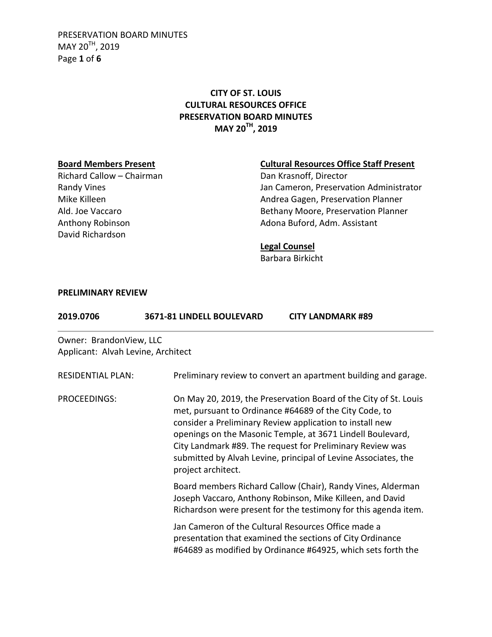PRESERVATION BOARD MINUTES MAY 20<sup>TH</sup>, 2019 Page **1** of **6**

# **CITY OF ST. LOUIS CULTURAL RESOURCES OFFICE PRESERVATION BOARD MINUTES MAY 20 TH, 2019**

Richard Callow – Chairman Dan Krasnoff, Director David Richardson

## **Board Members Present Cultural Resources Office Staff Present**

Randy Vines **National Community Community** Jan Cameron, Preservation Administrator Mike Killeen **Andrea Gagen, Preservation Planner** Andrea Gagen, Preservation Planner Ald. Joe Vaccaro **Bethany Moore, Preservation Planner** Anthony Robinson **Adona Buford, Adm. Assistant** 

### **Legal Counsel**

Barbara Birkicht

### **PRELIMINARY REVIEW**

| 2019.0706                                                     | 3671-81 LINDELL BOULEVARD                           | <b>CITY LANDMARK #89</b>                                                                                                                                                                                                                                                                                                                                                            |  |
|---------------------------------------------------------------|-----------------------------------------------------|-------------------------------------------------------------------------------------------------------------------------------------------------------------------------------------------------------------------------------------------------------------------------------------------------------------------------------------------------------------------------------------|--|
| Owner: BrandonView, LLC<br>Applicant: Alvah Levine, Architect |                                                     |                                                                                                                                                                                                                                                                                                                                                                                     |  |
| <b>RESIDENTIAL PLAN:</b>                                      |                                                     | Preliminary review to convert an apartment building and garage.                                                                                                                                                                                                                                                                                                                     |  |
| PROCEEDINGS:                                                  | project architect.                                  | On May 20, 2019, the Preservation Board of the City of St. Louis<br>met, pursuant to Ordinance #64689 of the City Code, to<br>consider a Preliminary Review application to install new<br>openings on the Masonic Temple, at 3671 Lindell Boulevard,<br>City Landmark #89. The request for Preliminary Review was<br>submitted by Alvah Levine, principal of Levine Associates, the |  |
|                                                               |                                                     | Board members Richard Callow (Chair), Randy Vines, Alderman<br>Joseph Vaccaro, Anthony Robinson, Mike Killeen, and David<br>Richardson were present for the testimony for this agenda item.                                                                                                                                                                                         |  |
|                                                               | Jan Cameron of the Cultural Resources Office made a | presentation that examined the sections of City Ordinance<br>#64689 as modified by Ordinance #64925, which sets forth the                                                                                                                                                                                                                                                           |  |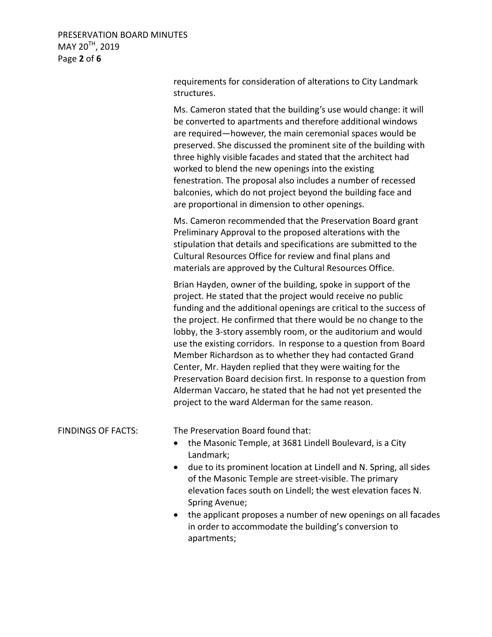| PRESERVATION BOARD MINUTES  |
|-----------------------------|
| MAY 20 <sup>TH</sup> , 2019 |
| Page 2 of 6                 |

requirements for consideration of alterations to City Landmark structures. Ms. Cameron stated that the building's use would change: it will be converted to apartments and therefore additional windows are required—however, the main ceremonial spaces would be preserved. She discussed the prominent site of the building with three highly visible facades and stated that the architect had worked to blend the new openings into the existing fenestration. The proposal also includes a number of recessed balconies, which do not project beyond the building face and are proportional in dimension to other openings.

Ms. Cameron recommended that the Preservation Board grant Preliminary Approval to the proposed alterations with the stipulation that details and specifications are submitted to the Cultural Resources Office for review and final plans and materials are approved by the Cultural Resources Office.

Brian Hayden, owner of the building, spoke in support of the project. He stated that the project would receive no public funding and the additional openings are critical to the success of the project. He confirmed that there would be no change to the lobby, the 3-story assembly room, or the auditorium and would use the existing corridors. In response to a question from Board Member Richardson as to whether they had contacted Grand Center, Mr. Hayden replied that they were waiting for the Preservation Board decision first. In response to a question from Alderman Vaccaro, he stated that he had not yet presented the project to the ward Alderman for the same reason.

FINDINGS OF FACTS: The Preservation Board found that:

- the Masonic Temple, at 3681 Lindell Boulevard, is a City Landmark;
- due to its prominent location at Lindell and N. Spring, all sides of the Masonic Temple are street-visible. The primary elevation faces south on Lindell; the west elevation faces N. Spring Avenue;
- the applicant proposes a number of new openings on all facades in order to accommodate the building's conversion to apartments;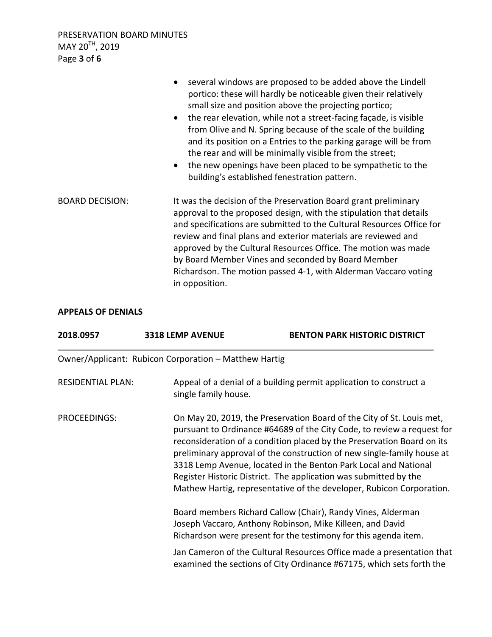PRESERVATION BOARD MINUTES MAY 20<sup>TH</sup>, 2019 Page **3** of **6**

|                        | • several windows are proposed to be added above the Lindell<br>portico: these will hardly be noticeable given their relatively<br>small size and position above the projecting portico;<br>• the rear elevation, while not a street-facing façade, is visible<br>from Olive and N. Spring because of the scale of the building<br>and its position on a Entries to the parking garage will be from<br>the rear and will be minimally visible from the street;<br>the new openings have been placed to be sympathetic to the<br>building's established fenestration pattern. |  |
|------------------------|------------------------------------------------------------------------------------------------------------------------------------------------------------------------------------------------------------------------------------------------------------------------------------------------------------------------------------------------------------------------------------------------------------------------------------------------------------------------------------------------------------------------------------------------------------------------------|--|
| <b>BOARD DECISION:</b> | It was the decision of the Preservation Board grant preliminary<br>approval to the proposed design, with the stipulation that details<br>and specifications are submitted to the Cultural Resources Office for<br>review and final plans and exterior materials are reviewed and<br>approved by the Cultural Resources Office. The motion was made<br>by Board Member Vines and seconded by Board Member<br>Richardson. The motion passed 4-1, with Alderman Vaccaro voting<br>in opposition.                                                                                |  |

## **APPEALS OF DENIALS**

| 2018.0957                | <b>3318 LEMP AVENUE</b>                               | <b>BENTON PARK HISTORIC DISTRICT</b>                                                                                                                                                                                                                                                                                                                                                                                                                                                                               |  |
|--------------------------|-------------------------------------------------------|--------------------------------------------------------------------------------------------------------------------------------------------------------------------------------------------------------------------------------------------------------------------------------------------------------------------------------------------------------------------------------------------------------------------------------------------------------------------------------------------------------------------|--|
|                          | Owner/Applicant: Rubicon Corporation - Matthew Hartig |                                                                                                                                                                                                                                                                                                                                                                                                                                                                                                                    |  |
| <b>RESIDENTIAL PLAN:</b> | single family house.                                  | Appeal of a denial of a building permit application to construct a                                                                                                                                                                                                                                                                                                                                                                                                                                                 |  |
| PROCEEDINGS:             |                                                       | On May 20, 2019, the Preservation Board of the City of St. Louis met,<br>pursuant to Ordinance #64689 of the City Code, to review a request for<br>reconsideration of a condition placed by the Preservation Board on its<br>preliminary approval of the construction of new single-family house at<br>3318 Lemp Avenue, located in the Benton Park Local and National<br>Register Historic District. The application was submitted by the<br>Mathew Hartig, representative of the developer, Rubicon Corporation. |  |
|                          |                                                       | Board members Richard Callow (Chair), Randy Vines, Alderman<br>Joseph Vaccaro, Anthony Robinson, Mike Killeen, and David<br>Richardson were present for the testimony for this agenda item.                                                                                                                                                                                                                                                                                                                        |  |
|                          |                                                       | Jan Cameron of the Cultural Resources Office made a presentation that<br>examined the sections of City Ordinance #67175, which sets forth the                                                                                                                                                                                                                                                                                                                                                                      |  |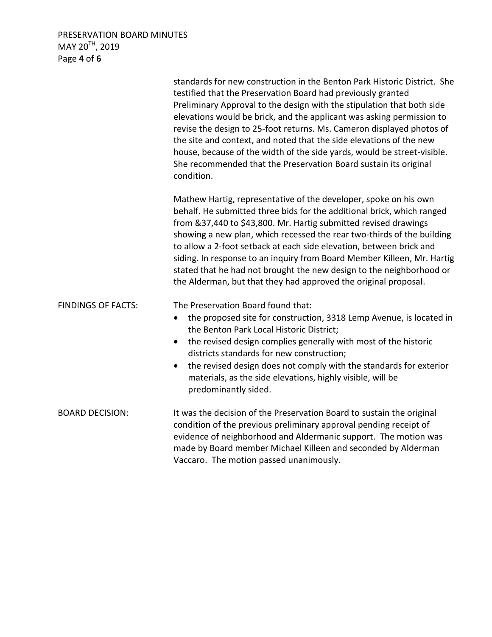## PRESERVATION BOARD MINUTES MAY 20<sup>TH</sup>, 2019 Page **4** of **6**

|                           | standards for new construction in the Benton Park Historic District. She<br>testified that the Preservation Board had previously granted<br>Preliminary Approval to the design with the stipulation that both side<br>elevations would be brick, and the applicant was asking permission to<br>revise the design to 25-foot returns. Ms. Cameron displayed photos of<br>the site and context, and noted that the side elevations of the new                                                                                                                                          |
|---------------------------|--------------------------------------------------------------------------------------------------------------------------------------------------------------------------------------------------------------------------------------------------------------------------------------------------------------------------------------------------------------------------------------------------------------------------------------------------------------------------------------------------------------------------------------------------------------------------------------|
|                           | house, because of the width of the side yards, would be street-visible.<br>She recommended that the Preservation Board sustain its original<br>condition.                                                                                                                                                                                                                                                                                                                                                                                                                            |
|                           | Mathew Hartig, representative of the developer, spoke on his own<br>behalf. He submitted three bids for the additional brick, which ranged<br>from &37,440 to \$43,800. Mr. Hartig submitted revised drawings<br>showing a new plan, which recessed the rear two-thirds of the building<br>to allow a 2-foot setback at each side elevation, between brick and<br>siding. In response to an inquiry from Board Member Killeen, Mr. Hartig<br>stated that he had not brought the new design to the neighborhood or<br>the Alderman, but that they had approved the original proposal. |
| <b>FINDINGS OF FACTS:</b> | The Preservation Board found that:<br>the proposed site for construction, 3318 Lemp Avenue, is located in<br>$\bullet$<br>the Benton Park Local Historic District;<br>the revised design complies generally with most of the historic<br>$\bullet$<br>districts standards for new construction;<br>the revised design does not comply with the standards for exterior<br>$\bullet$<br>materials, as the side elevations, highly visible, will be<br>predominantly sided.                                                                                                             |
| <b>BOARD DECISION:</b>    | It was the decision of the Preservation Board to sustain the original<br>condition of the previous preliminary approval pending receipt of<br>evidence of neighborhood and Aldermanic support. The motion was<br>made by Board member Michael Killeen and seconded by Alderman<br>Vaccaro. The motion passed unanimously.                                                                                                                                                                                                                                                            |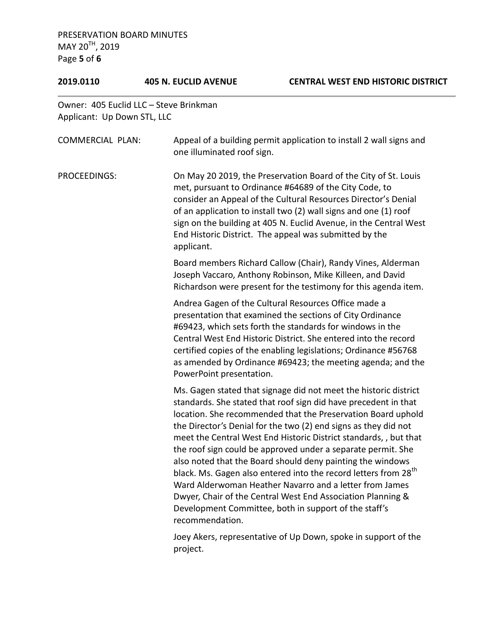PRESERVATION BOARD MINUTES MAY 20<sup>TH</sup>, 2019 Page **5** of **6**

| 2019.0110                                                             | <b>405 N. EUCLID AVENUE</b> | <b>CENTRAL WEST END HISTORIC DISTRICT</b>                                                                                                                                                                                                                                                                                                                                                                                                                                                                                                                                                                                                                                                                                                  |
|-----------------------------------------------------------------------|-----------------------------|--------------------------------------------------------------------------------------------------------------------------------------------------------------------------------------------------------------------------------------------------------------------------------------------------------------------------------------------------------------------------------------------------------------------------------------------------------------------------------------------------------------------------------------------------------------------------------------------------------------------------------------------------------------------------------------------------------------------------------------------|
| Owner: 405 Euclid LLC - Steve Brinkman<br>Applicant: Up Down STL, LLC |                             |                                                                                                                                                                                                                                                                                                                                                                                                                                                                                                                                                                                                                                                                                                                                            |
| <b>COMMERCIAL PLAN:</b>                                               | one illuminated roof sign.  | Appeal of a building permit application to install 2 wall signs and                                                                                                                                                                                                                                                                                                                                                                                                                                                                                                                                                                                                                                                                        |
| <b>PROCEEDINGS:</b>                                                   | applicant.                  | On May 20 2019, the Preservation Board of the City of St. Louis<br>met, pursuant to Ordinance #64689 of the City Code, to<br>consider an Appeal of the Cultural Resources Director's Denial<br>of an application to install two (2) wall signs and one (1) roof<br>sign on the building at 405 N. Euclid Avenue, in the Central West<br>End Historic District. The appeal was submitted by the                                                                                                                                                                                                                                                                                                                                             |
|                                                                       |                             | Board members Richard Callow (Chair), Randy Vines, Alderman<br>Joseph Vaccaro, Anthony Robinson, Mike Killeen, and David<br>Richardson were present for the testimony for this agenda item.                                                                                                                                                                                                                                                                                                                                                                                                                                                                                                                                                |
|                                                                       | PowerPoint presentation.    | Andrea Gagen of the Cultural Resources Office made a<br>presentation that examined the sections of City Ordinance<br>#69423, which sets forth the standards for windows in the<br>Central West End Historic District. She entered into the record<br>certified copies of the enabling legislations; Ordinance #56768<br>as amended by Ordinance #69423; the meeting agenda; and the                                                                                                                                                                                                                                                                                                                                                        |
|                                                                       | recommendation.             | Ms. Gagen stated that signage did not meet the historic district<br>standards. She stated that roof sign did have precedent in that<br>location. She recommended that the Preservation Board uphold<br>the Director's Denial for the two (2) end signs as they did not<br>meet the Central West End Historic District standards,, but that<br>the roof sign could be approved under a separate permit. She<br>also noted that the Board should deny painting the windows<br>black. Ms. Gagen also entered into the record letters from 28 <sup>th</sup><br>Ward Alderwoman Heather Navarro and a letter from James<br>Dwyer, Chair of the Central West End Association Planning &<br>Development Committee, both in support of the staff's |
|                                                                       | project.                    | Joey Akers, representative of Up Down, spoke in support of the                                                                                                                                                                                                                                                                                                                                                                                                                                                                                                                                                                                                                                                                             |